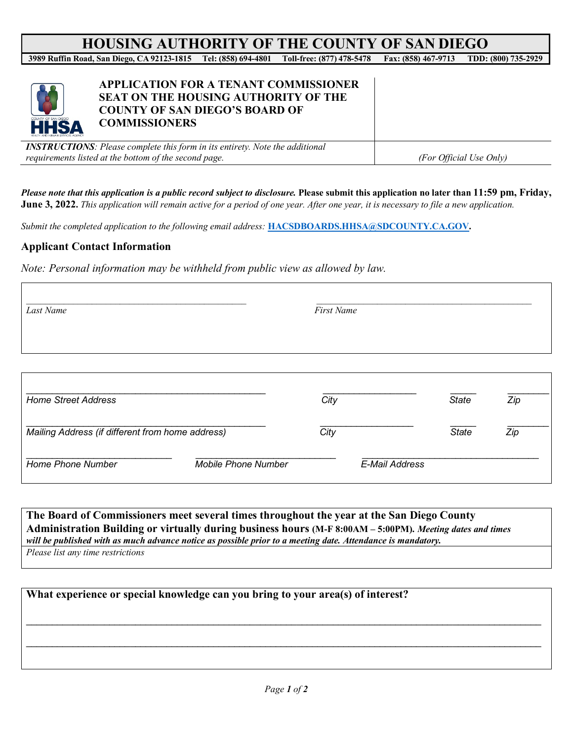# **HOUSING AUTHORITY OF THE COUNTY OF SAN DIEGO**<br>pad. San Diego, CA 92123-1815 Tel: (858) 694-4801 Toll-free: (877) 478-5478 Fax: (858) 467-9713 TDD: (800) 735-2929

**3989 Ruffin Road, San Diego, CA 92123-1815 Tel: (858) 694-4801 Toll-free: (877) 478-5478 Fax: (858) 467-9713 TDD: (800) 735-2929**



### **APPLICATION FOR A TENANT COMMISSIONER SEAT ON THE HOUSING AUTHORITY OF THE COUNTY OF SAN DIEGO'S BOARD OF COMMISSIONERS**

*INSTRUCTIONS: Please complete this form in its entirety. Note the additional requirements listed at the bottom of the second page. (For Official Use Only)*

*Please note that this application is a public record subject to disclosure.* **Please submit this application no later than 11:59 pm, Friday, June 3, 2022.** *This application will remain active for a period of one year. After one year, it is necessary to file a new application.*

*Submit the completed application to the following email address:* **[HACSDBOARDS.HHSA@SDCOUNTY.CA.GOV.](mailto:HACSDBOARDS.HHSA@SDCOUNTY.CA.GOV)**

#### **Applicant Contact Information**

*Note: Personal information may be withheld from public view as allowed by law.*

| Last Name                                        |                            | <b>First Name</b> |                |              |     |
|--------------------------------------------------|----------------------------|-------------------|----------------|--------------|-----|
|                                                  |                            |                   |                |              |     |
| <b>Home Street Address</b>                       |                            | City              |                | <b>State</b> | Zip |
| Mailing Address (if different from home address) |                            | City              |                | <b>State</b> | Zip |
| Home Phone Number                                | <b>Mobile Phone Number</b> |                   | E-Mail Address |              |     |

#### **The Board of Commissioners meet several times throughout the year at the San Diego County Administration Building or virtually during business hours (M-F 8:00AM – 5:00PM).** *Meeting dates and times will be published with as much advance notice as possible prior to a meeting date. Attendance is mandatory. Please list any time restrictions*

**What experience or special knowledge can you bring to your area(s) of interest?** \_\_\_\_\_\_\_\_\_\_\_\_\_\_\_\_\_\_\_\_\_\_\_\_\_\_\_\_\_\_\_\_\_\_\_\_\_\_\_\_\_\_\_\_\_\_\_\_\_\_\_\_\_\_\_\_\_\_\_\_\_\_\_\_\_\_\_\_\_\_\_\_\_\_\_\_\_\_\_\_\_\_\_\_\_\_\_\_\_\_\_\_\_\_\_\_\_\_\_ \_\_\_\_\_\_\_\_\_\_\_\_\_\_\_\_\_\_\_\_\_\_\_\_\_\_\_\_\_\_\_\_\_\_\_\_\_\_\_\_\_\_\_\_\_\_\_\_\_\_\_\_\_\_\_\_\_\_\_\_\_\_\_\_\_\_\_\_\_\_\_\_\_\_\_\_\_\_\_\_\_\_\_\_\_\_\_\_\_\_\_\_\_\_\_\_\_\_\_